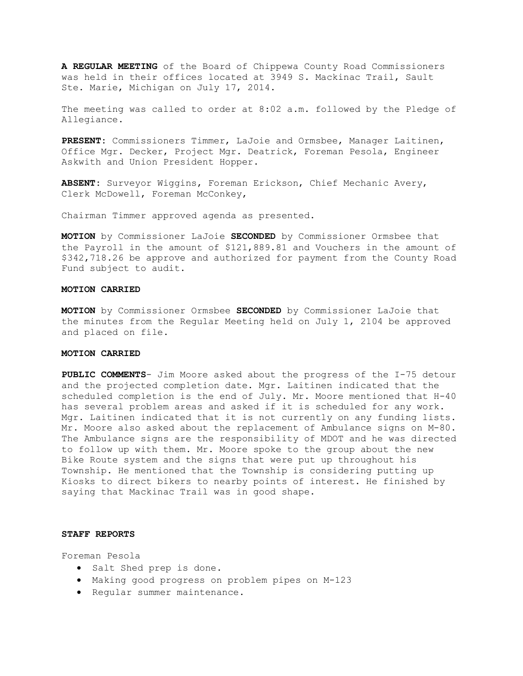**A REGULAR MEETING** of the Board of Chippewa County Road Commissioners was held in their offices located at 3949 S. Mackinac Trail, Sault Ste. Marie, Michigan on July 17, 2014.

The meeting was called to order at 8:02 a.m. followed by the Pledge of Allegiance.

**PRESENT:** Commissioners Timmer, LaJoie and Ormsbee, Manager Laitinen, Office Mgr. Decker, Project Mgr. Deatrick, Foreman Pesola, Engineer Askwith and Union President Hopper.

**ABSENT:** Surveyor Wiggins, Foreman Erickson, Chief Mechanic Avery, Clerk McDowell, Foreman McConkey,

Chairman Timmer approved agenda as presented.

**MOTION** by Commissioner LaJoie **SECONDED** by Commissioner Ormsbee that the Payroll in the amount of \$121,889.81 and Vouchers in the amount of \$342,718.26 be approve and authorized for payment from the County Road Fund subject to audit.

### **MOTION CARRIED**

**MOTION** by Commissioner Ormsbee **SECONDED** by Commissioner LaJoie that the minutes from the Regular Meeting held on July 1, 2104 be approved and placed on file.

## **MOTION CARRIED**

**PUBLIC COMMENTS**- Jim Moore asked about the progress of the I-75 detour and the projected completion date. Mgr. Laitinen indicated that the scheduled completion is the end of July. Mr. Moore mentioned that H-40 has several problem areas and asked if it is scheduled for any work. Mgr. Laitinen indicated that it is not currently on any funding lists. Mr. Moore also asked about the replacement of Ambulance signs on M-80. The Ambulance signs are the responsibility of MDOT and he was directed to follow up with them. Mr. Moore spoke to the group about the new Bike Route system and the signs that were put up throughout his Township. He mentioned that the Township is considering putting up Kiosks to direct bikers to nearby points of interest. He finished by saying that Mackinac Trail was in good shape.

# **STAFF REPORTS**

Foreman Pesola

- · Salt Shed prep is done.
- · Making good progress on problem pipes on M-123
- · Regular summer maintenance.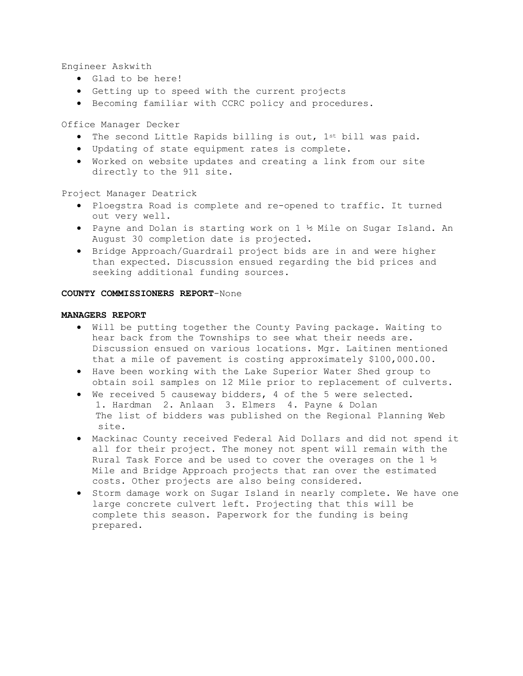Engineer Askwith

- · Glad to be here!
- · Getting up to speed with the current projects
- · Becoming familiar with CCRC policy and procedures.

Office Manager Decker

- · The second Little Rapids billing is out, 1st bill was paid.
- · Updating of state equipment rates is complete.
- · Worked on website updates and creating a link from our site directly to the 911 site.

Project Manager Deatrick

- · Ploegstra Road is complete and re-opened to traffic. It turned out very well.
- · Payne and Dolan is starting work on 1 ½ Mile on Sugar Island. An August 30 completion date is projected.
- · Bridge Approach/Guardrail project bids are in and were higher than expected. Discussion ensued regarding the bid prices and seeking additional funding sources.

# **COUNTY COMMISSIONERS REPORT**-None

# **MANAGERS REPORT**

- · Will be putting together the County Paving package. Waiting to hear back from the Townships to see what their needs are. Discussion ensued on various locations. Mgr. Laitinen mentioned that a mile of pavement is costing approximately \$100,000.00.
- · Have been working with the Lake Superior Water Shed group to obtain soil samples on 12 Mile prior to replacement of culverts.
- · We received 5 causeway bidders, 4 of the 5 were selected. 1. Hardman 2. Anlaan 3. Elmers 4. Payne & Dolan The list of bidders was published on the Regional Planning Web site.
- · Mackinac County received Federal Aid Dollars and did not spend it all for their project. The money not spent will remain with the Rural Task Force and be used to cover the overages on the 1  $\frac{1}{2}$ Mile and Bridge Approach projects that ran over the estimated costs. Other projects are also being considered.
- · Storm damage work on Sugar Island in nearly complete. We have one large concrete culvert left. Projecting that this will be complete this season. Paperwork for the funding is being prepared.